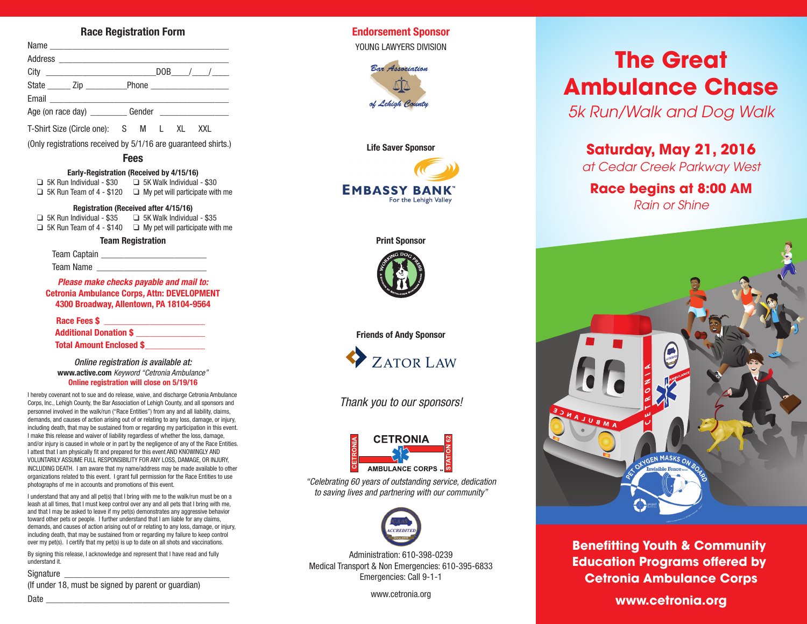# **Race Registration Form**

| Name              |                               |
|-------------------|-------------------------------|
|                   |                               |
|                   | $DOB$ / /                     |
|                   |                               |
|                   |                               |
| Age (on race day) | Gender ______________________ |

T-Shirt Size (Circle one): S M L XL XXL

(Only registrations received by 5/1/16 are guaranteed shirts.)

### **Fees**

#### **Early-Registration (Received by 4/15/16)**

 $\Box$  5K Run Individual - \$30  $\Box$  5K Walk Individual - \$30 ❑ 5K Run Team of 4 - \$120 ❑ My pet will participate with me

#### **Registration (Received after 4/15/16)**

❑ 5K Run Individual - \$35 ❑ 5K Walk Individual - \$35 ❑ 5K Run Team of 4 - \$140 ❑ My pet will participate with me

#### **Team Registration**

Team Captain \_\_\_\_\_\_\_\_\_\_\_\_\_\_\_\_\_\_\_\_\_\_\_

Team Name

*Please make checks payable and mail to:* **Cetronia Ambulance Corps***,* **Attn: DEVELOPMENT 4300 Broadway, Allentown, PA 18104-9564**

**Race Fees \$ \_\_\_\_\_\_\_\_\_\_\_\_\_\_\_\_\_\_\_\_\_\_ Additional Donation \$ \_\_\_\_\_\_\_\_\_\_\_\_\_\_\_**

**Total Amount Enclosed \$\_\_\_\_\_\_\_\_\_\_\_\_\_**

*Online registration is available at:* **www.active.com** *Keyword "Cetronia Ambulance"* **Online registration will close on 5/19/16**

I hereby covenant not to sue and do release, waive, and discharge Cetronia Ambulance Corps, Inc., Lehigh County, the Bar Association of Lehigh County, and all sponsors and personnel involved in the walk/run ("Race Entities") from any and all liability, claims, demands, and causes of action arising out of or relating to any loss, damage, or injury, including death, that may be sustained from or regarding my participation in this event. I make this release and waiver of liability regardless of whether the loss, damage, and/or injury is caused in whole or in part by the negligence of any of the Race Entities. I attest that I am physically fit and prepared for this event AND KNOWINGLY AND VOLUNTARILY ASSUME FULL RESPONSIBILITY FOR ANY LOSS, DAMAGE, OR INJURY, INCLUDING DEATH. I am aware that my name/address may be made available to other organizations related to this event. I grant full permission for the Race Entities to use photographs of me in accounts and promotions of this event.

I understand that any and all pet(s) that I bring with me to the walk/run must be on a leash at all times, that I must keep control over any and all pets that I bring with me, and that I may be asked to leave if my pet(s) demonstrates any aggressive behavior toward other pets or people. I further understand that I am liable for any claims, demands, and causes of action arising out of or relating to any loss, damage, or injury, including death, that may be sustained from or regarding my failure to keep control over my pet(s). I certify that my pet(s) is up to date on all shots and vaccinations.

By signing this release, I acknowledge and represent that I have read and fully understand it.

#### Signature

(If under 18, must be signed by parent or guardian)

**Endorsement Sponsor** YOUNG LAWYERS DIVISION





#### **Print Sponsor**



**Friends of Andy Sponsor**



*Thank you to our sponsors!*



*"Celebrating 60 years of outstanding service, dedication to saving lives and partnering with our community"*



Administration: 610-398-0239 Medical Transport & Non Emergencies: 610-395-6833 Emergencies: Call 9-1-1

www.cetronia.org

# **The Great Ambulance Chase**

*5k Run/Walk and Dog Walk*

**Saturday, May 21, 2016**

*at Cedar Creek Parkway West*

# **Race begins at 8:00 AM**

*Rain or Shine*



**Benefitting Youth & Community Education Programs offered by Cetronia Ambulance Corps**

**www.cetronia.org**

Date \_\_\_\_\_\_\_\_\_\_\_\_\_\_\_\_\_\_\_\_\_\_\_\_\_\_\_\_\_\_\_\_\_\_\_\_\_\_\_\_